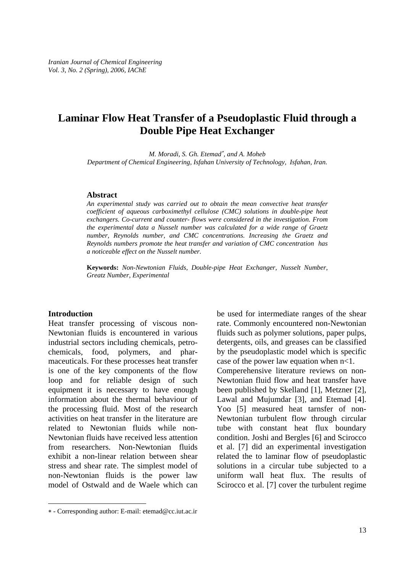# **Laminar Flow Heat Transfer of a Pseudoplastic Fluid through a Double Pipe Heat Exchanger**

*M. Moradi, S. Gh. Etemad<sup>\*</sup>, and A. Moheb Department of Chemical Engineering, Isfahan University of Technology, Isfahan, Iran.* 

# **Abstract**

*An experimental study was carried out to obtain the mean convective heat transfer coefficient of aqueous carboximethyl cellulose (CMC) solutions in double-pipe heat exchangers. Co-current and counter- flows were considered in the investigation. From the experimental data a Nusselt number was calculated for a wide range of Graetz number, Reynolds number, and CMC concentrations. Increasing the Graetz and Reynolds numbers promote the heat transfer and variation of CMC concentration has a noticeable effect on the Nusselt number.* 

**Keywords:** *Non-Newtonian Fluids, Double-pipe Heat Exchanger, Nusselt Number, Greatz Number, Experimental* 

# **Introduction**

-

Heat transfer processing of viscous non-Newtonian fluids is encountered in various industrial sectors including chemicals, petrochemicals, food, polymers, and pharmaceuticals. For these processes heat transfer is one of the key components of the flow loop and for reliable design of such equipment it is necessary to have enough information about the thermal behaviour of the processing fluid. Most of the research activities on heat transfer in the literature are related to Newtonian fluids while non-Newtonian fluids have received less attention from researchers. Non-Newtonian fluids exhibit a non-linear relation between shear stress and shear rate. The simplest model of non-Newtonian fluids is the power law model of Ostwald and de Waele which can

be used for intermediate ranges of the shear rate. Commonly encountered non-Newtonian fluids such as polymer solutions, paper pulps, detergents, oils, and greases can be classified by the pseudoplastic model which is specific case of the power law equation when  $n < 1$ . Comperehensive literature reviews on non-Newtonian fluid flow and heat transfer have been published by Skelland [1], Metzner [2], Lawal and Mujumdar [3], and Etemad [4]. Yoo [5] measured heat tarnsfer of non-Newtonian turbulent flow through circular tube with constant heat flux boundary condition. Joshi and Bergles [6] and Scirocco et al. [7] did an experimental investigation related the to laminar flow of pseudoplastic solutions in a circular tube subjected to a uniform wall heat flux. The results of Scirocco et al. [7] cover the turbulent regime

<sup>∗</sup> - Corresponding author: E-mail: etemad@cc.iut.ac.ir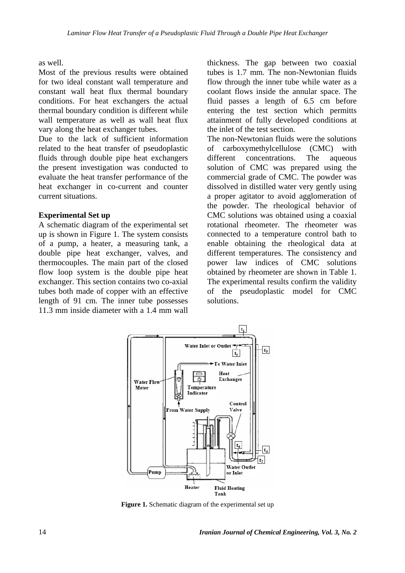as well.

Most of the previous results were obtained for two ideal constant wall temperature and constant wall heat flux thermal boundary conditions. For heat exchangers the actual thermal boundary condition is different while wall temperature as well as wall heat flux vary along the heat exchanger tubes.

Due to the lack of sufficient information related to the heat transfer of pseudoplastic fluids through double pipe heat exchangers the present investigation was conducted to evaluate the heat transfer performance of the heat exchanger in co-current and counter current situations.

# **Experimental Set up**

A schematic diagram of the experimental set up is shown in Figure 1. The system consists of a pump, a heater, a measuring tank, a double pipe heat exchanger, valves, and thermocouples. The main part of the closed flow loop system is the double pipe heat exchanger. This section contains two co-axial tubes both made of copper with an effective length of 91 cm. The inner tube possesses 11.3 mm inside diameter with a 1.4 mm wall thickness. The gap between two coaxial tubes is 1.7 mm. The non-Newtonian fluids flow through the inner tube while water as a coolant flows inside the annular space. The fluid passes a length of 6.5 cm before entering the test section which permitts attainment of fully developed conditions at the inlet of the test section.

The non-Newtonian fluids were the solutions of carboxymethylcellulose (CMC) with different concentrations. The aqueous solution of CMC was prepared using the commercial grade of CMC. The powder was dissolved in distilled water very gently using a proper agitator to avoid agglomeration of the powder. The rheological behavior of CMC solutions was obtained using a coaxial rotational rheometer. The rheometer was connected to a temperature control bath to enable obtaining the rheological data at different temperatures. The consistency and power law indices of CMC solutions obtained by rheometer are shown in Table 1. The experimental results confirm the validity of the pseudoplastic model for CMC solutions.



**Figure 1.** Schematic diagram of the experimental set up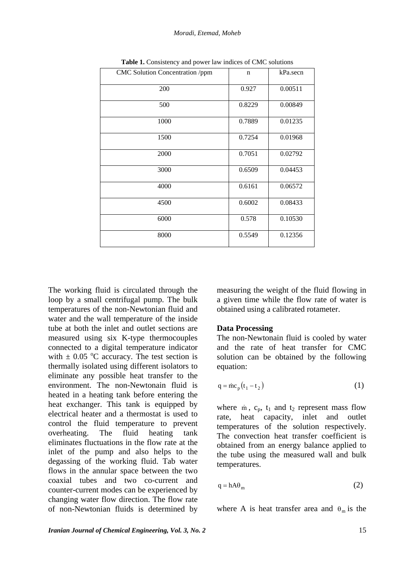| CMC Solution Concentration /ppm | $\mathbf n$ | kPa.secn |
|---------------------------------|-------------|----------|
| 200                             | 0.927       | 0.00511  |
| 500                             | 0.8229      | 0.00849  |
| 1000                            | 0.7889      | 0.01235  |
| 1500                            | 0.7254      | 0.01968  |
| 2000                            | 0.7051      | 0.02792  |
| 3000                            | 0.6509      | 0.04453  |
| 4000                            | 0.6161      | 0.06572  |
| 4500                            | 0.6002      | 0.08433  |
| 6000                            | 0.578       | 0.10530  |
| 8000                            | 0.5549      | 0.12356  |

**Table 1.** Consistency and power law indices of CMC solutions

The working fluid is circulated through the loop by a small centrifugal pump. The bulk temperatures of the non-Newtonian fluid and water and the wall temperature of the inside tube at both the inlet and outlet sections are measured using six K-type thermocouples connected to a digital temperature indicator with  $\pm$  0.05 °C accuracy. The test section is thermally isolated using different isolators to eliminate any possible heat transfer to the environment. The non-Newtonain fluid is heated in a heating tank before entering the heat exchanger. This tank is equipped by electrical heater and a thermostat is used to control the fluid temperature to prevent overheating. The fluid heating tank eliminates fluctuations in the flow rate at the inlet of the pump and also helps to the degassing of the working fluid. Tab water flows in the annular space between the two coaxial tubes and two co-current and counter-current modes can be experienced by changing water flow direction. The flow rate of non-Newtonian fluids is determined by

measuring the weight of the fluid flowing in a given time while the flow rate of water is obtained using a calibrated rotameter.

# **Data Processing**

The non-Newtonain fluid is cooled by water and the rate of heat transfer for CMC solution can be obtained by the following equation:

$$
q = \dot{m}c_p(t_1 - t_2) \tag{1}
$$

where  $\dot{m}$ ,  $c_p$ ,  $t_1$  and  $t_2$  represent mass flow rate, heat capacity, inlet and outlet temperatures of the solution respectively. The convection heat transfer coefficient is obtained from an energy balance applied to the tube using the measured wall and bulk temperatures.

$$
q = hA\theta_m \tag{2}
$$

where A is heat transfer area and  $\theta_m$  is the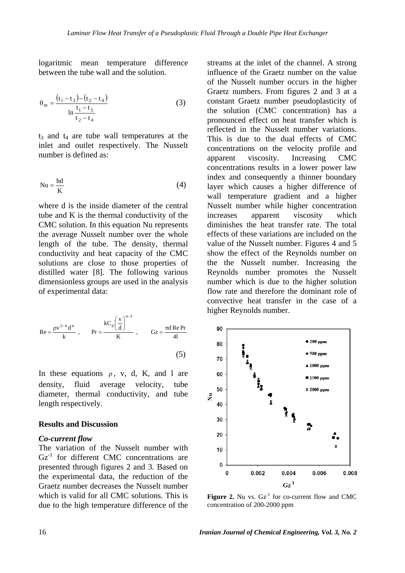logaritmic mean temperature difference between the tube wall and the solution.

$$
\theta_{\rm m} = \frac{(t_1 - t_3) - (t_2 - t_4)}{\ln \frac{t_1 - t_3}{t_2 - t_4}}
$$
(3)

 $t_3$  and  $t_4$  are tube wall temperatures at the inlet and outlet respectively. The Nusselt number is defined as:

$$
Nu = \frac{hd}{K}
$$
 (4)

where d is the inside diameter of the central tube and K is the thermal conductivity of the CMC solution. In this equation Nu represents the average Nusselt number over the whole length of the tube. The density, thermal conductivity and heat capacity of the CMC solutions are close to those properties of distilled water [8]. The following various dimensionless groups are used in the analysis of experimental data:

$$
\text{Re} = \frac{\rho v^{2-n} d^n}{k} , \qquad \text{Pr} = \frac{kC_p \left(\frac{v}{d}\right)^{n-1}}{K} , \qquad \text{Gz} = \frac{\pi d \text{ Re } \text{Pr}}{4l}
$$
\n(5)

In these equations  $\rho$ , v, d, K, and l are density, fluid average velocity, tube diameter, thermal conductivity, and tube length respectively.

### **Results and Discussion**

### *Co-current flow*

The variation of the Nusselt number with  $Gz<sup>-1</sup>$  for different CMC concentrations are presented through figures 2 and 3. Based on the experimental data, the reduction of the Graetz number decreases the Nusselt number which is valid for all CMC solutions. This is due to the high temperature difference of the streams at the inlet of the channel. A strong influence of the Graetz number on the value of the Nusselt number occurs in the higher Graetz numbers. From figures 2 and 3 at a constant Graetz number pseudoplasticity of the solution (CMC concentration) has a pronounced effect on heat transfer which is reflected in the Nusselt number variations. This is due to the dual effects of CMC concentrations on the velocity profile and apparent viscosity. Increasing CMC concentrations results in a lower power law index and consequently a thinner boundary layer which causes a higher difference of wall temperature gradient and a higher Nusselt number while higher concentration increases apparent viscosity which diminishes the heat transfer rate. The total effects of these variations are included on the value of the Nusselt number. Figures 4 and 5 show the effect of the Reynolds number on the the Nusselt number. Increasing the Reynolds number promotes the Nusselt number which is due to the higher solution flow rate and therefore the dominant role of convective heat transfer in the case of a higher Reynolds number.



**Figure 2.** Nu vs.  $Gz<sup>-1</sup>$  for co-current flow and CMC concentration of 200-2000 ppm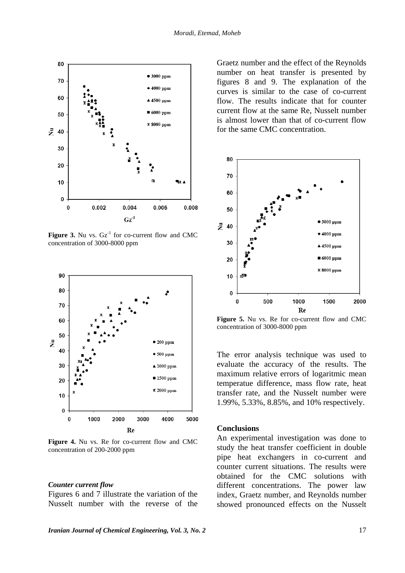

**Figure 3.** Nu vs.  $Gz<sup>-1</sup>$  for co-current flow and CMC concentration of 3000-8000 ppm



**Figure 4.** Nu vs. Re for co-current flow and CMC concentration of 200-2000 ppm

#### *Counter current flow*

Figures 6 and 7 illustrate the variation of the Nusselt number with the reverse of the

Graetz number and the effect of the Reynolds number on heat transfer is presented by figures 8 and 9. The explanation of the curves is similar to the case of co-current flow. The results indicate that for counter current flow at the same Re, Nusselt number is almost lower than that of co-current flow for the same CMC concentration.



**Figure 5.** Nu vs. Re for co-current flow and CMC concentration of 3000-8000 ppm

The error analysis technique was used to evaluate the accuracy of the results. The maximum relative errors of logaritmic mean temperatue difference, mass flow rate, heat transfer rate, and the Nusselt number were 1.99%, 5.33%, 8.85%, and 10% respectively.

# **Conclusions**

An experimental investigation was done to study the heat transfer coefficient in double pipe heat exchangers in co-current and counter current situations. The results were obtained for the CMC solutions with different concentrations. The power law index, Graetz number, and Reynolds number showed pronounced effects on the Nusselt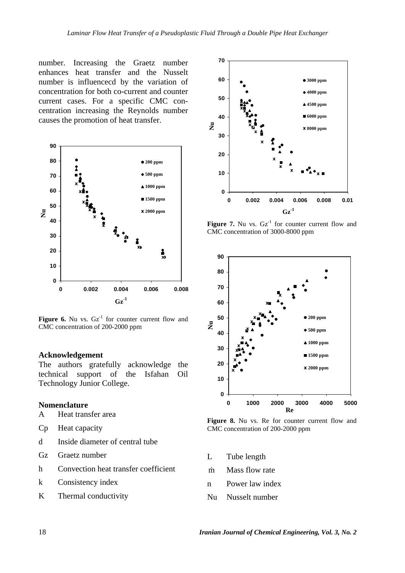number. Increasing the Graetz number enhances heat transfer and the Nusselt number is influencecd by the variation of concentration for both co-current and counter current cases. For a specific CMC concentration increasing the Reynolds number causes the promotion of heat transfer.



**Figure 6.** Nu vs.  $Gz<sup>-1</sup>$  for counter current flow and CMC concentration of 200-2000 ppm

### **Acknowledgement**

The authors gratefully acknowledge the technical support of the Isfahan Oil Technology Junior College.

# **Nomenclature**

- A Heat transfer area
- Cp Heat capacity
- d Inside diameter of central tube
- Gz Graetz number
- h Convection heat transfer coefficient
- k Consistency index
- K Thermal conductivity



**Figure 7.** Nu vs.  $Gz<sup>-1</sup>$  for counter current flow and CMC concentration of 3000-8000 ppm



Figure 8. Nu vs. Re for counter current flow and CMC concentration of 200-2000 ppm

- L Tube length
- m Mass flow rate
- n Power law index
- Nu Nusselt number